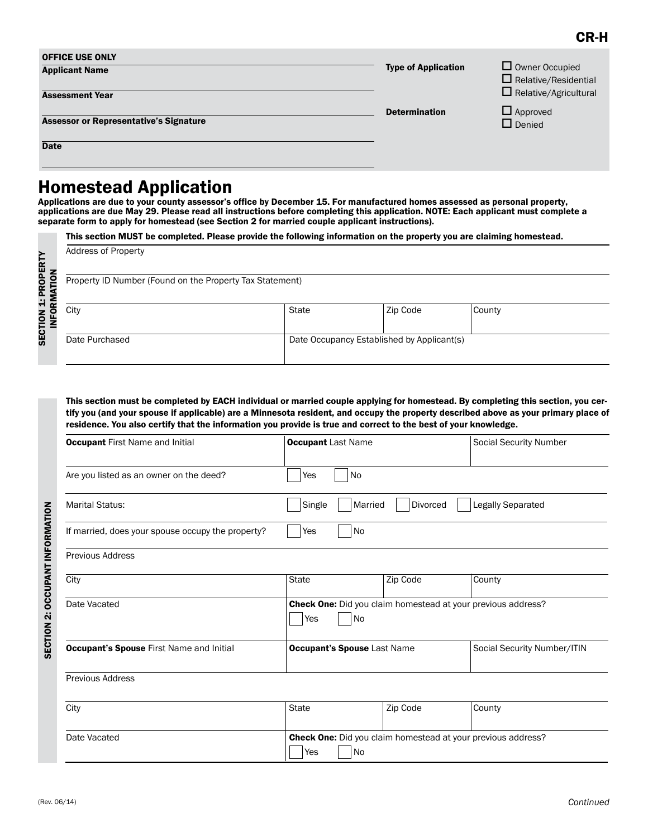| <b>OFFICE USE ONLY</b><br><b>Applicant Name</b>              | <b>Type of Application</b> | $\Box$ Owner Occupied<br>$\Box$ Relative/Residential<br>$\Box$ Relative/Agricultural |
|--------------------------------------------------------------|----------------------------|--------------------------------------------------------------------------------------|
| <b>Assessment Year</b>                                       | <b>Determination</b>       | $\Box$ Approved                                                                      |
| <b>Assessor or Representative's Signature</b><br><b>Date</b> |                            | $\Box$ Denied                                                                        |

# Homestead Application

**The State** 

Applications are due to your county assessor's office by December 15. For manufactured homes assessed as personal property, applications are due May 29. Please read all instructions before completing this application. NOTE: Each applicant must complete a separate form to apply for homestead (see Section 2 for married couple applicant instructions).

This section MUST be completed. Please provide the following information on the property you are claiming homestead.

| <b>Address of Property</b>                               |       |                                            |        |  |
|----------------------------------------------------------|-------|--------------------------------------------|--------|--|
| Property ID Number (Found on the Property Tax Statement) |       |                                            |        |  |
| City                                                     | State | Zip Code                                   | County |  |
| Date Purchased                                           |       | Date Occupancy Established by Applicant(s) |        |  |

This section must be completed by EACH individual or married couple applying for homestead. By completing this section, you certify you (and your spouse if applicable) are a Minnesota resident, and occupy the property described above as your primary place of residence. You also certify that the information you provide is true and correct to the best of your knowledge.

| <b>Occupant First Name and Initial</b>            | <b>Occupant Last Name</b>                                                 |          | <b>Social Security Number</b> |
|---------------------------------------------------|---------------------------------------------------------------------------|----------|-------------------------------|
| Are you listed as an owner on the deed?           | Yes<br>No                                                                 |          |                               |
| <b>Marital Status:</b>                            | Legally Separated<br>Single<br>Divorced<br>Married                        |          |                               |
| If married, does your spouse occupy the property? | No<br>Yes                                                                 |          |                               |
| <b>Previous Address</b>                           |                                                                           |          |                               |
| City                                              | <b>State</b>                                                              | Zip Code | County                        |
| Date Vacated                                      | Check One: Did you claim homestead at your previous address?<br>No<br>Yes |          |                               |
| <b>Occupant's Spouse First Name and Initial</b>   | <b>Occupant's Spouse Last Name</b>                                        |          | Social Security Number/ITIN   |
|                                                   |                                                                           |          |                               |
| <b>Previous Address</b>                           |                                                                           |          |                               |
| City                                              | State                                                                     | Zip Code | County                        |

| City         | <b>State</b>                                                        | Zip Code | County |
|--------------|---------------------------------------------------------------------|----------|--------|
| Date Vacated | <b>Check One:</b> Did you claim homestead at your previous address? |          |        |
|              | Yes<br><b>No</b>                                                    |          |        |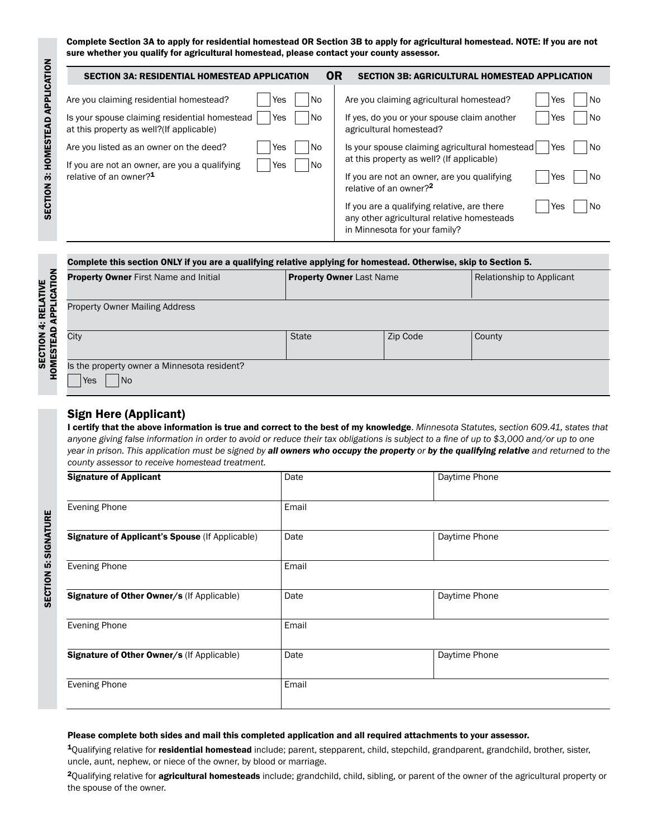Complete Section 3A to apply for residential homestead OR Section 3B to apply for agricultural homestead. NOTE: If you are not sure whether you qualify for agricultural homestead, please contact your county assessor.

| <b>OR</b><br>SECTION 3A: RESIDENTIAL HOMESTEAD APPLICATION                                                                                                               | <b>SECTION 3B: AGRICULTURAL HOMESTEAD APPLICATION</b>                                                                                                                                                       |
|--------------------------------------------------------------------------------------------------------------------------------------------------------------------------|-------------------------------------------------------------------------------------------------------------------------------------------------------------------------------------------------------------|
| <b>No</b><br>Are you claiming residential homestead?<br>Yes<br>Is your spouse claiming residential homestead<br>l No<br>Yes<br>at this property as well? (If applicable) | Are you claiming agricultural homestead?<br>Yes<br>No.<br>If yes, do you or your spouse claim another<br>No<br>Yes<br>agricultural homestead?                                                               |
| Are you listed as an owner on the deed?<br>l No<br>Yes<br>l No<br>If you are not an owner, are you a qualifying<br>Yes<br>relative of an owner? <sup>1</sup>             | Is your spouse claiming agricultural homestead<br>Yes<br>No.<br>at this property as well? (If applicable)<br>If you are not an owner, are you qualifying<br>No<br>Yes<br>relative of an owner? <sup>2</sup> |
|                                                                                                                                                                          | If you are a qualifying relative, are there<br>No.<br>Yes<br>any other agricultural relative homesteads<br>in Minnesota for your family?                                                                    |

|                    | Complete this section ONLY if you are a qualifying relative applying for homestead. Otherwise, skip to Section 5. |                                 |          |                           |
|--------------------|-------------------------------------------------------------------------------------------------------------------|---------------------------------|----------|---------------------------|
|                    | <b>Property Owner</b> First Name and Initial                                                                      | <b>Property Owner Last Name</b> |          | Relationship to Applicant |
| <b>APPLICATION</b> | <b>Property Owner Mailing Address</b>                                                                             |                                 |          |                           |
| HOMESTEAD          | City                                                                                                              | <b>State</b>                    | Zip Code | County                    |
|                    | Is the property owner a Minnesota resident?<br>N <sub>o</sub><br>Yes                                              |                                 |          |                           |

#### Sign Here (Applicant)

I certify that the above information is true and correct to the best of my knowledge. *Minnesota Statutes, section 609.41, states that anyone giving false information in order to avoid or reduce their tax obligations is subject to a fine of up to \$3,000 and/or up to one year in prison. This application must be signed by all owners who occupy the property or by the qualifying relative and returned to the county assessor to receive homestead treatment.*

| <b>Signature of Applicant</b>                   | Date  | Daytime Phone |
|-------------------------------------------------|-------|---------------|
| <b>Evening Phone</b>                            | Email |               |
| Signature of Applicant's Spouse (If Applicable) | Date  | Daytime Phone |
| <b>Evening Phone</b>                            | Email |               |
| Signature of Other Owner/s (If Applicable)      | Date  | Daytime Phone |
| <b>Evening Phone</b>                            | Email |               |
| Signature of Other Owner/s (If Applicable)      | Date  | Daytime Phone |
| <b>Evening Phone</b>                            | Email |               |

#### Please complete both sides and mail this completed application and all required attachments to your assessor.

1Qualifying relative for residential homestead include; parent, stepparent, child, stepchild, grandparent, grandchild, brother, sister, uncle, aunt, nephew, or niece of the owner, by blood or marriage.

<sup>2</sup>Qualifying relative for **agricultural homesteads** include; grandchild, child, sibling, or parent of the owner of the agricultural property or the spouse of the owner.

SECTION 5: SIGNATURE

**SECTION 5: SIGNATURE**